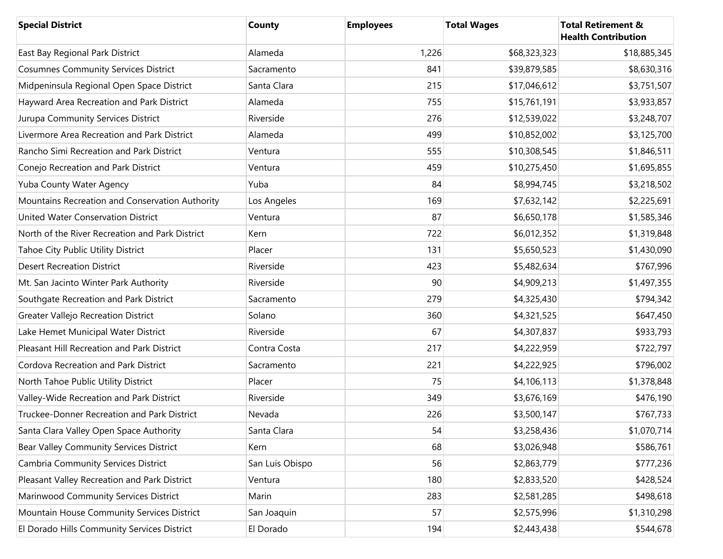| <b>Special District</b>                         | <b>County</b>   | <b>Employees</b> | <b>Total Wages</b> | <b>Total Retirement &amp;</b><br><b>Health Contribution</b> |
|-------------------------------------------------|-----------------|------------------|--------------------|-------------------------------------------------------------|
| East Bay Regional Park District                 | Alameda         | 1,226            | \$68,323,323       | \$18,885,345                                                |
| <b>Cosumnes Community Services District</b>     | Sacramento      | 841              | \$39,879,585       | \$8,630,316                                                 |
| Midpeninsula Regional Open Space District       | Santa Clara     | 215              | \$17,046,612       | \$3,751,507                                                 |
| Hayward Area Recreation and Park District       | Alameda         | 755              | \$15,761,191       | \$3,933,857                                                 |
| Jurupa Community Services District              | Riverside       | 276              | \$12,539,022       | \$3,248,707                                                 |
| Livermore Area Recreation and Park District     | Alameda         | 499              | \$10,852,002       | \$3,125,700                                                 |
| Rancho Simi Recreation and Park District        | Ventura         | 555              | \$10,308,545       | \$1,846,511                                                 |
| Conejo Recreation and Park District             | Ventura         | 459              | \$10,275,450       | \$1,695,855                                                 |
| Yuba County Water Agency                        | Yuba            | 84               | \$8,994,745        | \$3,218,502                                                 |
| Mountains Recreation and Conservation Authority | Los Angeles     | 169              | \$7,632,142        | \$2,225,691                                                 |
| United Water Conservation District              | Ventura         | 87               | \$6,650,178        | \$1,585,346                                                 |
| North of the River Recreation and Park District | Kern            | 722              | \$6,012,352        | \$1,319,848                                                 |
| Tahoe City Public Utility District              | Placer          | 131              | \$5,650,523        | \$1,430,090                                                 |
| <b>Desert Recreation District</b>               | Riverside       | 423              | \$5,482,634        | \$767,996                                                   |
| Mt. San Jacinto Winter Park Authority           | Riverside       | 90               | \$4,909,213        | \$1,497,355                                                 |
| Southgate Recreation and Park District          | Sacramento      | 279              | \$4,325,430        | \$794,342                                                   |
| Greater Vallejo Recreation District             | Solano          | 360              | \$4,321,525        | \$647,450                                                   |
| Lake Hemet Municipal Water District             | Riverside       | 67               | \$4,307,837        | \$933,793                                                   |
| Pleasant Hill Recreation and Park District      | Contra Costa    | 217              | \$4,222,959        | \$722,797                                                   |
| Cordova Recreation and Park District            | Sacramento      | 221              | \$4,222,925        | \$796,002                                                   |
| North Tahoe Public Utility District             | Placer          | 75               | \$4,106,113        | \$1,378,848                                                 |
| Valley-Wide Recreation and Park District        | Riverside       | 349              | \$3,676,169        | \$476,190                                                   |
| Truckee-Donner Recreation and Park District     | Nevada          | 226              | \$3,500,147        | \$767,733                                                   |
| Santa Clara Valley Open Space Authority         | Santa Clara     | 54               | \$3,258,436        | \$1,070,714                                                 |
| Bear Valley Community Services District         | Kern            | 68               | \$3,026,948        | \$586,761                                                   |
| Cambria Community Services District             | San Luis Obispo | 56               | \$2,863,779        | \$777,236                                                   |
| Pleasant Valley Recreation and Park District    | Ventura         | 180              | \$2,833,520        | \$428,524                                                   |
| Marinwood Community Services District           | Marin           | 283              | \$2,581,285        | \$498,618                                                   |
| Mountain House Community Services District      | San Joaquin     | 57               | \$2,575,996        | \$1,310,298                                                 |
| El Dorado Hills Community Services District     | El Dorado       | 194              | \$2,443,438        | \$544,678                                                   |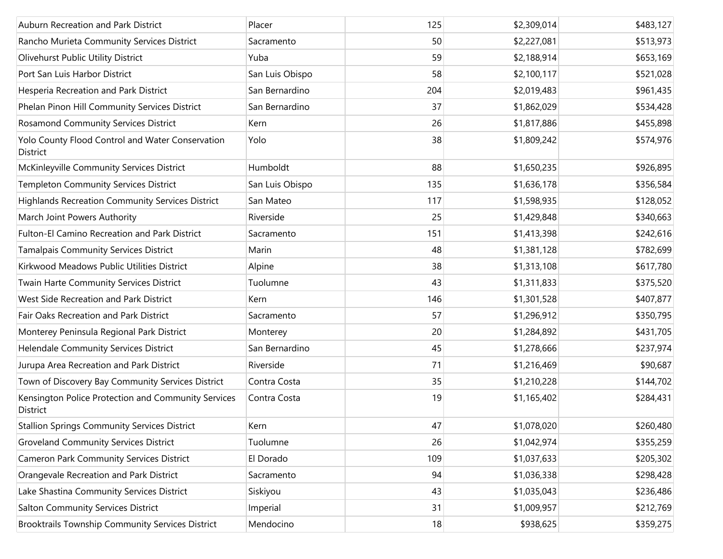| Auburn Recreation and Park District                             | Placer          | 125 | \$2,309,014 | \$483,127 |
|-----------------------------------------------------------------|-----------------|-----|-------------|-----------|
| Rancho Murieta Community Services District                      | Sacramento      | 50  | \$2,227,081 | \$513,973 |
| Olivehurst Public Utility District                              | Yuba            | 59  | \$2,188,914 | \$653,169 |
| Port San Luis Harbor District                                   | San Luis Obispo | 58  | \$2,100,117 | \$521,028 |
| Hesperia Recreation and Park District                           | San Bernardino  | 204 | \$2,019,483 | \$961,435 |
| Phelan Pinon Hill Community Services District                   | San Bernardino  | 37  | \$1,862,029 | \$534,428 |
| <b>Rosamond Community Services District</b>                     | Kern            | 26  | \$1,817,886 | \$455,898 |
| Yolo County Flood Control and Water Conservation<br>District    | Yolo            | 38  | \$1,809,242 | \$574,976 |
| McKinleyville Community Services District                       | Humboldt        | 88  | \$1,650,235 | \$926,895 |
| <b>Templeton Community Services District</b>                    | San Luis Obispo | 135 | \$1,636,178 | \$356,584 |
| <b>Highlands Recreation Community Services District</b>         | San Mateo       | 117 | \$1,598,935 | \$128,052 |
| March Joint Powers Authority                                    | Riverside       | 25  | \$1,429,848 | \$340,663 |
| Fulton-El Camino Recreation and Park District                   | Sacramento      | 151 | \$1,413,398 | \$242,616 |
| Tamalpais Community Services District                           | Marin           | 48  | \$1,381,128 | \$782,699 |
| Kirkwood Meadows Public Utilities District                      | Alpine          | 38  | \$1,313,108 | \$617,780 |
| Twain Harte Community Services District                         | Tuolumne        | 43  | \$1,311,833 | \$375,520 |
| West Side Recreation and Park District                          | Kern            | 146 | \$1,301,528 | \$407,877 |
| Fair Oaks Recreation and Park District                          | Sacramento      | 57  | \$1,296,912 | \$350,795 |
| Monterey Peninsula Regional Park District                       | Monterey        | 20  | \$1,284,892 | \$431,705 |
| Helendale Community Services District                           | San Bernardino  | 45  | \$1,278,666 | \$237,974 |
| Jurupa Area Recreation and Park District                        | Riverside       | 71  | \$1,216,469 | \$90,687  |
| Town of Discovery Bay Community Services District               | Contra Costa    | 35  | \$1,210,228 | \$144,702 |
| Kensington Police Protection and Community Services<br>District | Contra Costa    | 19  | \$1,165,402 | \$284,431 |
| <b>Stallion Springs Community Services District</b>             | Kern            | 47  | \$1,078,020 | \$260,480 |
| <b>Groveland Community Services District</b>                    | Tuolumne        | 26  | \$1,042,974 | \$355,259 |
| <b>Cameron Park Community Services District</b>                 | El Dorado       | 109 | \$1,037,633 | \$205,302 |
| Orangevale Recreation and Park District                         | Sacramento      | 94  | \$1,036,338 | \$298,428 |
| Lake Shastina Community Services District                       | Siskiyou        | 43  | \$1,035,043 | \$236,486 |
| Salton Community Services District                              | Imperial        | 31  | \$1,009,957 | \$212,769 |
| <b>Brooktrails Township Community Services District</b>         | Mendocino       | 18  | \$938,625   | \$359,275 |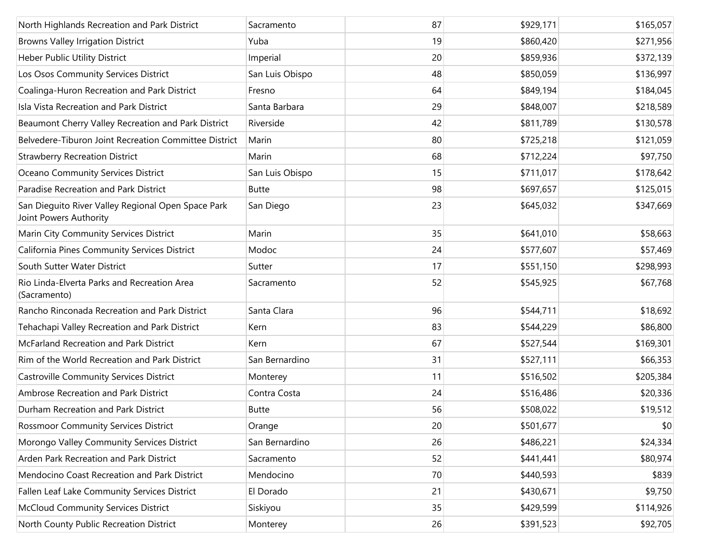| North Highlands Recreation and Park District                                 | Sacramento      | 87 | \$929,171 | \$165,057 |
|------------------------------------------------------------------------------|-----------------|----|-----------|-----------|
| <b>Browns Valley Irrigation District</b>                                     | Yuba            | 19 | \$860,420 | \$271,956 |
| Heber Public Utility District                                                | Imperial        | 20 | \$859,936 | \$372,139 |
| Los Osos Community Services District                                         | San Luis Obispo | 48 | \$850,059 | \$136,997 |
| Coalinga-Huron Recreation and Park District                                  | Fresno          | 64 | \$849,194 | \$184,045 |
| Isla Vista Recreation and Park District                                      | Santa Barbara   | 29 | \$848,007 | \$218,589 |
| Beaumont Cherry Valley Recreation and Park District                          | Riverside       | 42 | \$811,789 | \$130,578 |
| Belvedere-Tiburon Joint Recreation Committee District                        | Marin           | 80 | \$725,218 | \$121,059 |
| <b>Strawberry Recreation District</b>                                        | Marin           | 68 | \$712,224 | \$97,750  |
| Oceano Community Services District                                           | San Luis Obispo | 15 | \$711,017 | \$178,642 |
| Paradise Recreation and Park District                                        | <b>Butte</b>    | 98 | \$697,657 | \$125,015 |
| San Dieguito River Valley Regional Open Space Park<br>Joint Powers Authority | San Diego       | 23 | \$645,032 | \$347,669 |
| Marin City Community Services District                                       | Marin           | 35 | \$641,010 | \$58,663  |
| California Pines Community Services District                                 | Modoc           | 24 | \$577,607 | \$57,469  |
| South Sutter Water District                                                  | Sutter          | 17 | \$551,150 | \$298,993 |
| Rio Linda-Elverta Parks and Recreation Area<br>(Sacramento)                  | Sacramento      | 52 | \$545,925 | \$67,768  |
| Rancho Rinconada Recreation and Park District                                | Santa Clara     | 96 | \$544,711 | \$18,692  |
| Tehachapi Valley Recreation and Park District                                | Kern            | 83 | \$544,229 | \$86,800  |
| McFarland Recreation and Park District                                       | Kern            | 67 | \$527,544 | \$169,301 |
| Rim of the World Recreation and Park District                                | San Bernardino  | 31 | \$527,111 | \$66,353  |
| <b>Castroville Community Services District</b>                               | Monterey        | 11 | \$516,502 | \$205,384 |
| Ambrose Recreation and Park District                                         | Contra Costa    | 24 | \$516,486 | \$20,336  |
| Durham Recreation and Park District                                          | <b>Butte</b>    | 56 | \$508,022 | \$19,512  |
| <b>Rossmoor Community Services District</b>                                  | Orange          | 20 | \$501,677 | \$0       |
| Morongo Valley Community Services District                                   | San Bernardino  | 26 | \$486,221 | \$24,334  |
| Arden Park Recreation and Park District                                      | Sacramento      | 52 | \$441,441 | \$80,974  |
| Mendocino Coast Recreation and Park District                                 | Mendocino       | 70 | \$440,593 | \$839     |
| Fallen Leaf Lake Community Services District                                 | El Dorado       | 21 | \$430,671 | \$9,750   |
| <b>McCloud Community Services District</b>                                   | Siskiyou        | 35 | \$429,599 | \$114,926 |
| North County Public Recreation District                                      | Monterey        | 26 | \$391,523 | \$92,705  |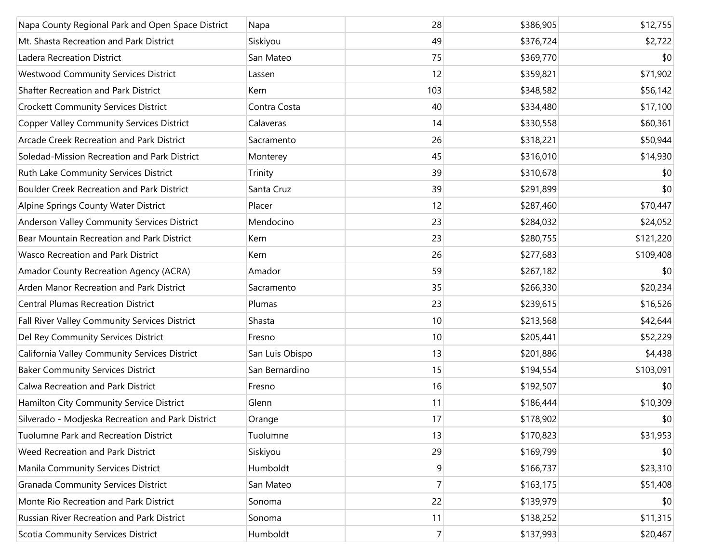| Napa County Regional Park and Open Space District | Napa            | 28             | \$386,905 | \$12,755  |
|---------------------------------------------------|-----------------|----------------|-----------|-----------|
| Mt. Shasta Recreation and Park District           | Siskiyou        | 49             | \$376,724 | \$2,722   |
| Ladera Recreation District                        | San Mateo       | 75             | \$369,770 | \$0       |
| <b>Westwood Community Services District</b>       | Lassen          | 12             | \$359,821 | \$71,902  |
| Shafter Recreation and Park District              | Kern            | 103            | \$348,582 | \$56,142  |
| <b>Crockett Community Services District</b>       | Contra Costa    | 40             | \$334,480 | \$17,100  |
| <b>Copper Valley Community Services District</b>  | Calaveras       | 14             | \$330,558 | \$60,361  |
| Arcade Creek Recreation and Park District         | Sacramento      | 26             | \$318,221 | \$50,944  |
| Soledad-Mission Recreation and Park District      | Monterey        | 45             | \$316,010 | \$14,930  |
| Ruth Lake Community Services District             | Trinity         | 39             | \$310,678 | \$0       |
| <b>Boulder Creek Recreation and Park District</b> | Santa Cruz      | 39             | \$291,899 | \$0       |
| Alpine Springs County Water District              | Placer          | 12             | \$287,460 | \$70,447  |
| Anderson Valley Community Services District       | Mendocino       | 23             | \$284,032 | \$24,052  |
| Bear Mountain Recreation and Park District        | Kern            | 23             | \$280,755 | \$121,220 |
| <b>Wasco Recreation and Park District</b>         | Kern            | 26             | \$277,683 | \$109,408 |
| Amador County Recreation Agency (ACRA)            | Amador          | 59             | \$267,182 | \$0       |
| Arden Manor Recreation and Park District          | Sacramento      | 35             | \$266,330 | \$20,234  |
| <b>Central Plumas Recreation District</b>         | Plumas          | 23             | \$239,615 | \$16,526  |
| Fall River Valley Community Services District     | Shasta          | 10             | \$213,568 | \$42,644  |
| Del Rey Community Services District               | Fresno          | 10             | \$205,441 | \$52,229  |
| California Valley Community Services District     | San Luis Obispo | 13             | \$201,886 | \$4,438   |
| <b>Baker Community Services District</b>          | San Bernardino  | 15             | \$194,554 | \$103,091 |
| Calwa Recreation and Park District                | Fresno          | 16             | \$192,507 | \$0       |
| Hamilton City Community Service District          | Glenn           | 11             | \$186,444 | \$10,309  |
| Silverado - Modjeska Recreation and Park District | Orange          | 17             | \$178,902 | \$0       |
| Tuolumne Park and Recreation District             | Tuolumne        | 13             | \$170,823 | \$31,953  |
| Weed Recreation and Park District                 | Siskiyou        | 29             | \$169,799 | \$0       |
| Manila Community Services District                | Humboldt        | 9              | \$166,737 | \$23,310  |
| <b>Granada Community Services District</b>        | San Mateo       | $\overline{7}$ | \$163,175 | \$51,408  |
| Monte Rio Recreation and Park District            | Sonoma          | 22             | \$139,979 | \$0       |
| Russian River Recreation and Park District        | Sonoma          | 11             | \$138,252 | \$11,315  |
| Scotia Community Services District                | Humboldt        | $\overline{7}$ | \$137,993 | \$20,467  |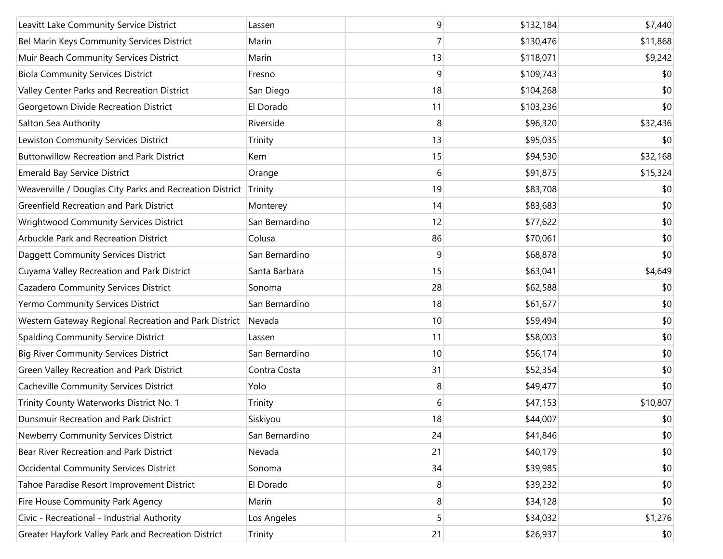| Leavitt Lake Community Service District                  | Lassen         | 9  | \$132,184 | \$7,440  |
|----------------------------------------------------------|----------------|----|-----------|----------|
| Bel Marin Keys Community Services District               | Marin          | 7  | \$130,476 | \$11,868 |
| Muir Beach Community Services District                   | Marin          | 13 | \$118,071 | \$9,242  |
| <b>Biola Community Services District</b>                 | Fresno         | 9  | \$109,743 | \$0      |
| Valley Center Parks and Recreation District              | San Diego      | 18 | \$104,268 | \$0      |
| Georgetown Divide Recreation District                    | El Dorado      | 11 | \$103,236 | \$0      |
| Salton Sea Authority                                     | Riverside      | 8  | \$96,320  | \$32,436 |
| Lewiston Community Services District                     | Trinity        | 13 | \$95,035  | \$0      |
| <b>Buttonwillow Recreation and Park District</b>         | Kern           | 15 | \$94,530  | \$32,168 |
| <b>Emerald Bay Service District</b>                      | Orange         | 6  | \$91,875  | \$15,324 |
| Weaverville / Douglas City Parks and Recreation District | Trinity        | 19 | \$83,708  | \$0      |
| Greenfield Recreation and Park District                  | Monterey       | 14 | \$83,683  | \$0      |
| Wrightwood Community Services District                   | San Bernardino | 12 | \$77,622  | \$0      |
| Arbuckle Park and Recreation District                    | Colusa         | 86 | \$70,061  | \$0      |
| Daggett Community Services District                      | San Bernardino | 9  | \$68,878  | \$0      |
| Cuyama Valley Recreation and Park District               | Santa Barbara  | 15 | \$63,041  | \$4,649  |
| Cazadero Community Services District                     | Sonoma         | 28 | \$62,588  | \$0      |
| Yermo Community Services District                        | San Bernardino | 18 | \$61,677  | \$0      |
| Western Gateway Regional Recreation and Park District    | Nevada         | 10 | \$59,494  | \$0      |
| Spalding Community Service District                      | Lassen         | 11 | \$58,003  | \$0      |
| <b>Big River Community Services District</b>             | San Bernardino | 10 | \$56,174  | \$0      |
| Green Valley Recreation and Park District                | Contra Costa   | 31 | \$52,354  | \$0      |
| Cacheville Community Services District                   | Yolo           | 8  | \$49,477  | \$0      |
| Trinity County Waterworks District No. 1                 | Trinity        | 6  | \$47,153  | \$10,807 |
| Dunsmuir Recreation and Park District                    | Siskiyou       | 18 | \$44,007  | \$0      |
| Newberry Community Services District                     | San Bernardino | 24 | \$41,846  | \$0      |
| Bear River Recreation and Park District                  | Nevada         | 21 | \$40,179  | \$0      |
| <b>Occidental Community Services District</b>            | Sonoma         | 34 | \$39,985  | \$0      |
| Tahoe Paradise Resort Improvement District               | El Dorado      | 8  | \$39,232  | \$0      |
| Fire House Community Park Agency                         | Marin          | 8  | \$34,128  | \$0      |
| Civic - Recreational - Industrial Authority              | Los Angeles    | 5  | \$34,032  | \$1,276  |
| Greater Hayfork Valley Park and Recreation District      | Trinity        | 21 | \$26,937  | \$0      |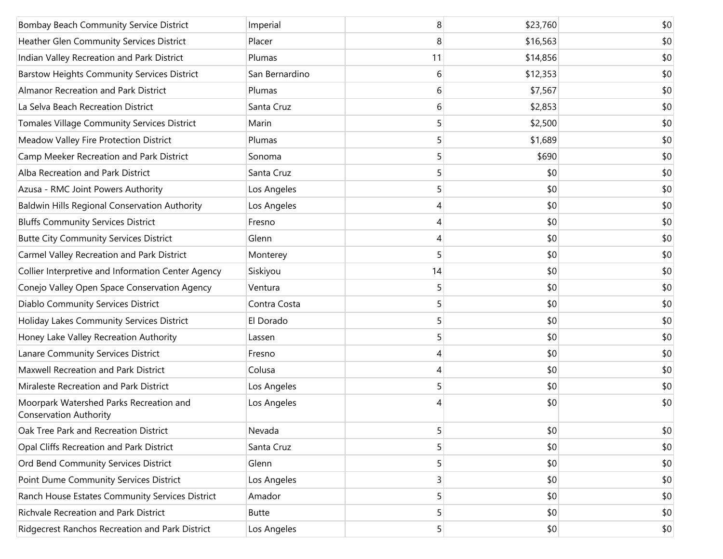| Bombay Beach Community Service District                                  | Imperial       | 8  | \$23,760 | \$0 |
|--------------------------------------------------------------------------|----------------|----|----------|-----|
| Heather Glen Community Services District                                 | Placer         | 8  | \$16,563 | \$0 |
| Indian Valley Recreation and Park District                               | Plumas         | 11 | \$14,856 | \$0 |
| <b>Barstow Heights Community Services District</b>                       | San Bernardino | 6  | \$12,353 | \$0 |
| Almanor Recreation and Park District                                     | Plumas         | 6  | \$7,567  | \$0 |
| La Selva Beach Recreation District                                       | Santa Cruz     | 6  | \$2,853  | \$0 |
| Tomales Village Community Services District                              | Marin          | 5  | \$2,500  | \$0 |
| Meadow Valley Fire Protection District                                   | Plumas         | 5  | \$1,689  | \$0 |
| Camp Meeker Recreation and Park District                                 | Sonoma         | 5  | \$690    | \$0 |
| Alba Recreation and Park District                                        | Santa Cruz     | 5  | \$0      | \$0 |
| Azusa - RMC Joint Powers Authority                                       | Los Angeles    | 5  | \$0      | \$0 |
| Baldwin Hills Regional Conservation Authority                            | Los Angeles    | 4  | \$0      | \$0 |
| <b>Bluffs Community Services District</b>                                | Fresno         | 4  | \$0      | \$0 |
| <b>Butte City Community Services District</b>                            | Glenn          | 4  | \$0      | \$0 |
| Carmel Valley Recreation and Park District                               | Monterey       | 5  | \$0      | \$0 |
| Collier Interpretive and Information Center Agency                       | Siskiyou       | 14 | \$0      | \$0 |
| Conejo Valley Open Space Conservation Agency                             | Ventura        | 5  | \$0      | \$0 |
| Diablo Community Services District                                       | Contra Costa   | 5  | \$0      | \$0 |
| Holiday Lakes Community Services District                                | El Dorado      | 5  | \$0      | \$0 |
| Honey Lake Valley Recreation Authority                                   | Lassen         | 5  | \$0      | \$0 |
| Lanare Community Services District                                       | Fresno         | 4  | \$0      | \$0 |
| Maxwell Recreation and Park District                                     | Colusa         | 4  | \$0      | \$0 |
| Miraleste Recreation and Park District                                   | Los Angeles    | 5  | \$0      | \$0 |
| Moorpark Watershed Parks Recreation and<br><b>Conservation Authority</b> | Los Angeles    | 4  | \$0      | \$0 |
| Oak Tree Park and Recreation District                                    | Nevada         | 5  | \$0      | \$0 |
| Opal Cliffs Recreation and Park District                                 | Santa Cruz     | 5  | \$0      | \$0 |
| Ord Bend Community Services District                                     | Glenn          | 5  | \$0      | \$0 |
| Point Dume Community Services District                                   | Los Angeles    | 3  | \$0      | \$0 |
| Ranch House Estates Community Services District                          | Amador         | 5  | \$0      | \$0 |
| Richvale Recreation and Park District                                    | <b>Butte</b>   | 5  | \$0      | \$0 |
| Ridgecrest Ranchos Recreation and Park District                          | Los Angeles    | 5  | \$0      | \$0 |